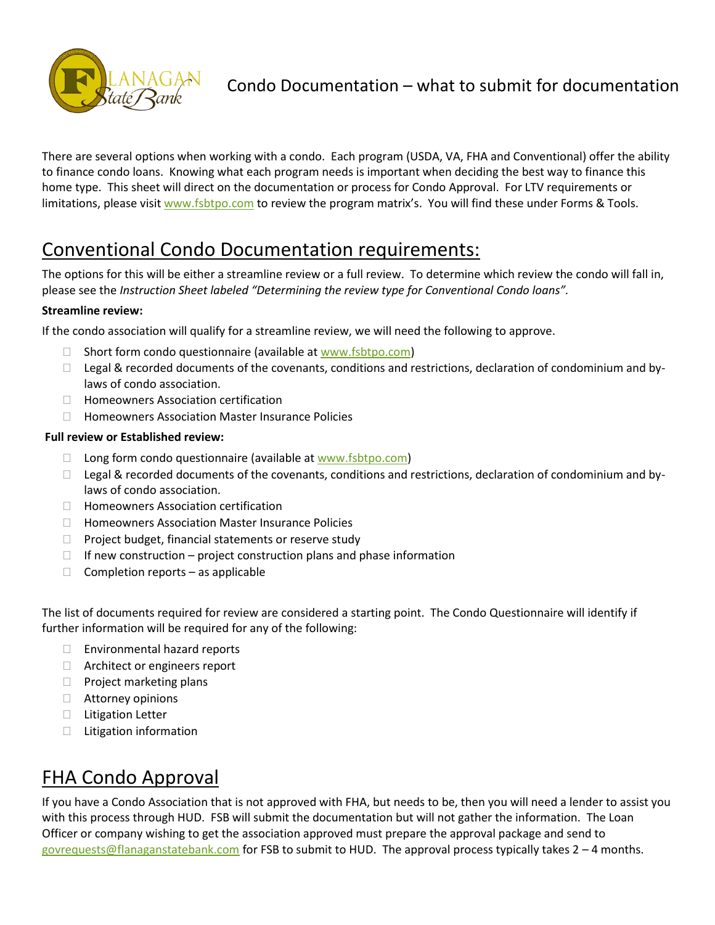

### Condo Documentation – what to submit for documentation

There are several options when working with a condo. Each program (USDA, VA, FHA and Conventional) offer the ability to finance condo loans. Knowing what each program needs is important when deciding the best way to finance this home type. This sheet will direct on the documentation or process for Condo Approval. For LTV requirements or limitations, please visi[t www.fsbtpo.com](http://www.fsbtpo.com/) to review the program matrix's. You will find these under Forms & Tools.

# Conventional Condo Documentation requirements:

The options for this will be either a streamline review or a full review. To determine which review the condo will fall in, please see the *Instruction Sheet labeled "Determining the review type for Conventional Condo loans".*

#### **Streamline review:**

If the condo association will qualify for a streamline review, we will need the following to approve.

- $\Box$  Short form condo questionnaire (available a[t www.fsbtpo.com\)](http://www.fsbtpo.com/)
- $\Box$  Legal & recorded documents of the covenants, conditions and restrictions, declaration of condominium and bylaws of condo association.
- □ Homeowners Association certification
- $\Box$  Homeowners Association Master Insurance Policies

#### **Full review or Established review:**

- $\Box$  Long form condo questionnaire (available at [www.fsbtpo.com\)](http://www.fsbtpo.com/)
- $\Box$  Legal & recorded documents of the covenants, conditions and restrictions, declaration of condominium and bylaws of condo association.
- $\Box$  Homeowners Association certification
- $\Box$  Homeowners Association Master Insurance Policies
- $\Box$  Project budget, financial statements or reserve study
- $\Box$  If new construction project construction plans and phase information
- $\Box$  Completion reports as applicable

The list of documents required for review are considered a starting point. The Condo Questionnaire will identify if further information will be required for any of the following:

- □ Environmental hazard reports
- $\Box$  Architect or engineers report
- $\Box$  Project marketing plans
- □ Attorney opinions
- $\Box$  Litigation Letter
- □ Litigation information

# FHA Condo Approval

If you have a Condo Association that is not approved with FHA, but needs to be, then you will need a lender to assist you with this process through HUD. FSB will submit the documentation but will not gather the information. The Loan Officer or company wishing to get the association approved must prepare the approval package and send to [govrequests@flanaganstatebank.com](mailto:govrequests@flanaganstatebank.com) for FSB to submit to HUD. The approval process typically takes 2 – 4 months.